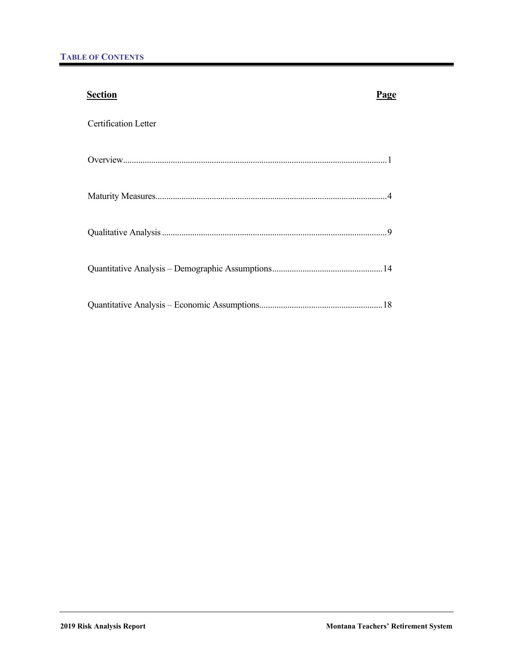| <b>Section</b>              | Page |
|-----------------------------|------|
| <b>Certification Letter</b> |      |
|                             |      |
|                             |      |
|                             |      |
|                             |      |
|                             |      |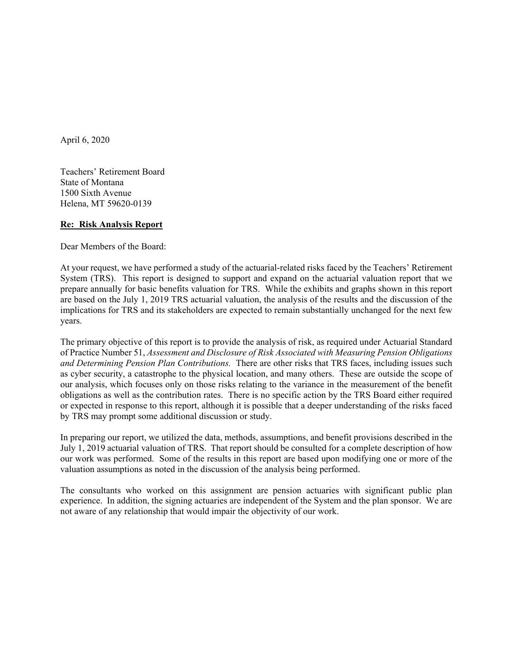

April 6, 2020

Teachers' Retirement Board State of Montana 1500 Sixth Avenue Helena, MT 59620-0139

## **Re: Risk Analysis Report**

Dear Members of the Board:

At your request, we have performed a study of the actuarial-related risks faced by the Teachers' Retirement System (TRS). This report is designed to support and expand on the actuarial valuation report that we prepare annually for basic benefits valuation for TRS. While the exhibits and graphs shown in this report are based on the July 1, 2019 TRS actuarial valuation, the analysis of the results and the discussion of the implications for TRS and its stakeholders are expected to remain substantially unchanged for the next few years.

The primary objective of this report is to provide the analysis of risk, as required under Actuarial Standard of Practice Number 51, *Assessment and Disclosure of Risk Associated with Measuring Pension Obligations and Determining Pension Plan Contributions.* There are other risks that TRS faces, including issues such as cyber security, a catastrophe to the physical location, and many others. These are outside the scope of our analysis, which focuses only on those risks relating to the variance in the measurement of the benefit obligations as well as the contribution rates. There is no specific action by the TRS Board either required or expected in response to this report, although it is possible that a deeper understanding of the risks faced by TRS may prompt some additional discussion or study.

In preparing our report, we utilized the data, methods, assumptions, and benefit provisions described in the July 1, 2019 actuarial valuation of TRS. That report should be consulted for a complete description of how our work was performed. Some of the results in this report are based upon modifying one or more of the valuation assumptions as noted in the discussion of the analysis being performed.

The consultants who worked on this assignment are pension actuaries with significant public plan experience. In addition, the signing actuaries are independent of the System and the plan sponsor. We are not aware of any relationship that would impair the objectivity of our work.

> Off Offices in Kennesaw, GA • Bellevue, NE 3550 Busbee Pkwy, Suite 250, Kennesaw, GA 30144 Phone (678) 388-1700 • Fax (678) 388-1730 www.CavMacConsulting.com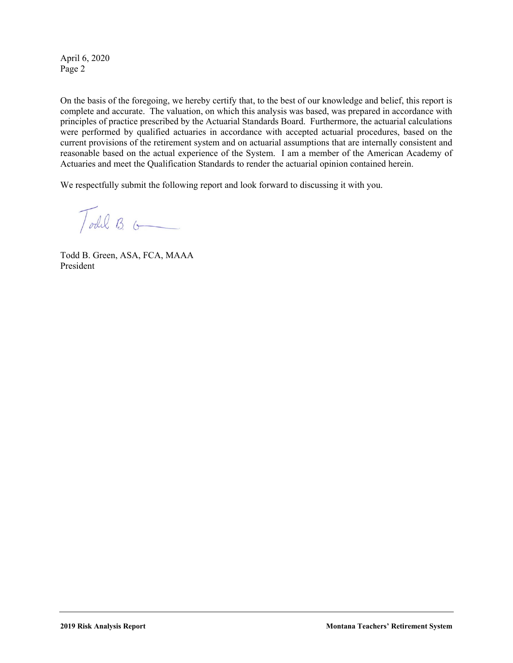April 6, 2020 Page 2



On the basis of the foregoing, we hereby certify that, to the best of our knowledge and belief, this report is complete and accurate. The valuation, on which this analysis was based, was prepared in accordance with principles of practice prescribed by the Actuarial Standards Board. Furthermore, the actuarial calculations were performed by qualified actuaries in accordance with accepted actuarial procedures, based on the current provisions of the retirement system and on actuarial assumptions that are internally consistent and reasonable based on the actual experience of the System. I am a member of the American Academy of Actuaries and meet the Qualification Standards to render the actuarial opinion contained herein.

We respectfully submit the following report and look forward to discussing it with you.

Todel B. G

Todd B. Green, ASA, FCA, MAAA President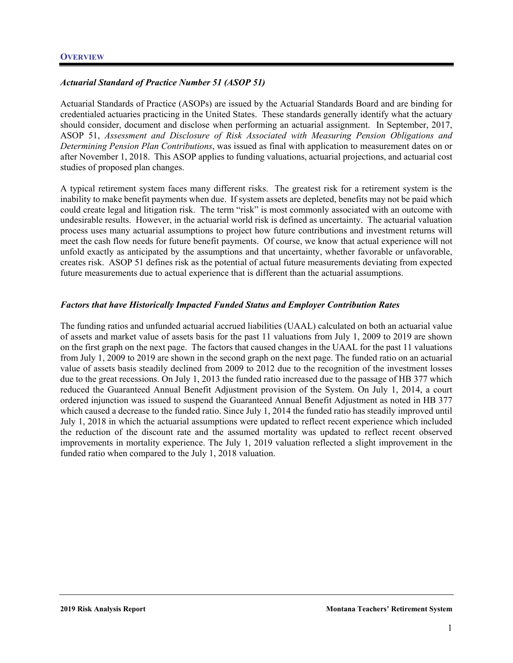

# *Actuarial Standard of Practice Number 51 (ASOP 51)*

Actuarial Standards of Practice (ASOPs) are issued by the Actuarial Standards Board and are binding for credentialed actuaries practicing in the United States. These standards generally identify what the actuary should consider, document and disclose when performing an actuarial assignment. In September, 2017, ASOP 51, *Assessment and Disclosure of Risk Associated with Measuring Pension Obligations and Determining Pension Plan Contributions*, was issued as final with application to measurement dates on or after November 1, 2018. This ASOP applies to funding valuations, actuarial projections, and actuarial cost studies of proposed plan changes.

A typical retirement system faces many different risks. The greatest risk for a retirement system is the inability to make benefit payments when due. If system assets are depleted, benefits may not be paid which could create legal and litigation risk. The term "risk" is most commonly associated with an outcome with undesirable results. However, in the actuarial world risk is defined as uncertainty. The actuarial valuation process uses many actuarial assumptions to project how future contributions and investment returns will meet the cash flow needs for future benefit payments. Of course, we know that actual experience will not unfold exactly as anticipated by the assumptions and that uncertainty, whether favorable or unfavorable, creates risk. ASOP 51 defines risk as the potential of actual future measurements deviating from expected future measurements due to actual experience that is different than the actuarial assumptions.

#### *Factors that have Historically Impacted Funded Status and Employer Contribution Rates*

The funding ratios and unfunded actuarial accrued liabilities (UAAL) calculated on both an actuarial value of assets and market value of assets basis for the past 11 valuations from July 1, 2009 to 2019 are shown on the first graph on the next page. The factors that caused changes in the UAAL for the past 11 valuations from July 1, 2009 to 2019 are shown in the second graph on the next page. The funded ratio on an actuarial value of assets basis steadily declined from 2009 to 2012 due to the recognition of the investment losses due to the great recessions. On July 1, 2013 the funded ratio increased due to the passage of HB 377 which reduced the Guaranteed Annual Benefit Adjustment provision of the System. On July 1, 2014, a court ordered injunction was issued to suspend the Guaranteed Annual Benefit Adjustment as noted in HB 377 which caused a decrease to the funded ratio. Since July 1, 2014 the funded ratio has steadily improved until July 1, 2018 in which the actuarial assumptions were updated to reflect recent experience which included the reduction of the discount rate and the assumed mortality was updated to reflect recent observed improvements in mortality experience. The July 1, 2019 valuation reflected a slight improvement in the funded ratio when compared to the July 1, 2018 valuation.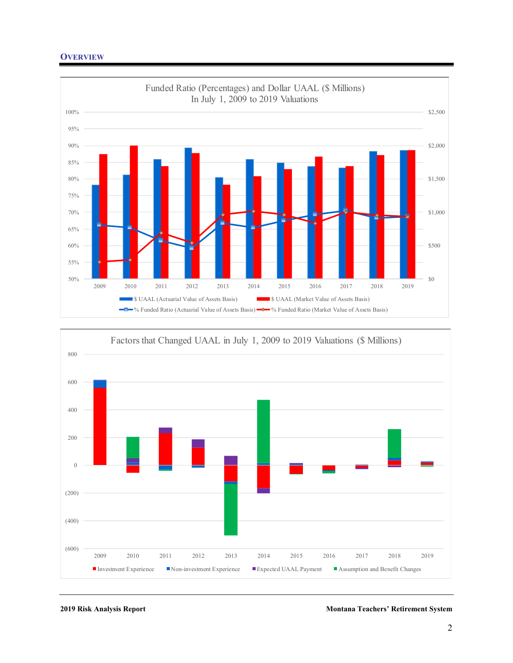



**2019 Risk Analysis Report Montana Teachers' Retirement System**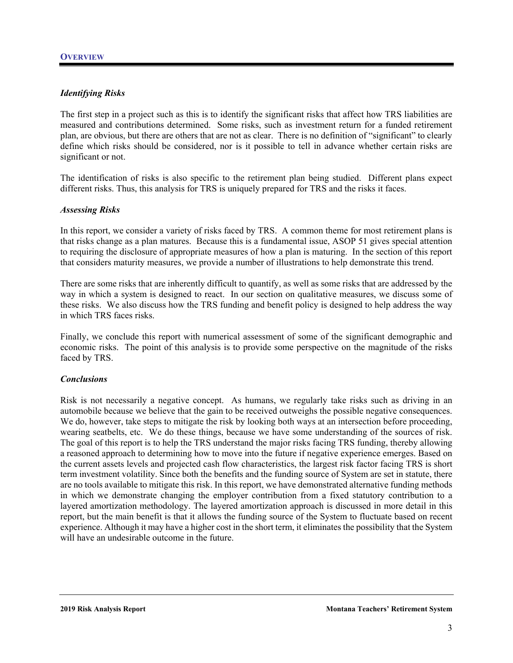

## *Identifying Risks*

The first step in a project such as this is to identify the significant risks that affect how TRS liabilities are measured and contributions determined. Some risks, such as investment return for a funded retirement plan, are obvious, but there are others that are not as clear. There is no definition of "significant" to clearly define which risks should be considered, nor is it possible to tell in advance whether certain risks are significant or not.

The identification of risks is also specific to the retirement plan being studied. Different plans expect different risks. Thus, this analysis for TRS is uniquely prepared for TRS and the risks it faces.

#### *Assessing Risks*

In this report, we consider a variety of risks faced by TRS. A common theme for most retirement plans is that risks change as a plan matures. Because this is a fundamental issue, ASOP 51 gives special attention to requiring the disclosure of appropriate measures of how a plan is maturing. In the section of this report that considers maturity measures, we provide a number of illustrations to help demonstrate this trend.

There are some risks that are inherently difficult to quantify, as well as some risks that are addressed by the way in which a system is designed to react. In our section on qualitative measures, we discuss some of these risks. We also discuss how the TRS funding and benefit policy is designed to help address the way in which TRS faces risks.

Finally, we conclude this report with numerical assessment of some of the significant demographic and economic risks. The point of this analysis is to provide some perspective on the magnitude of the risks faced by TRS.

#### *Conclusions*

Risk is not necessarily a negative concept. As humans, we regularly take risks such as driving in an automobile because we believe that the gain to be received outweighs the possible negative consequences. We do, however, take steps to mitigate the risk by looking both ways at an intersection before proceeding, wearing seatbelts, etc. We do these things, because we have some understanding of the sources of risk. The goal of this report is to help the TRS understand the major risks facing TRS funding, thereby allowing a reasoned approach to determining how to move into the future if negative experience emerges. Based on the current assets levels and projected cash flow characteristics, the largest risk factor facing TRS is short term investment volatility. Since both the benefits and the funding source of System are set in statute, there are no tools available to mitigate this risk. In this report, we have demonstrated alternative funding methods in which we demonstrate changing the employer contribution from a fixed statutory contribution to a layered amortization methodology. The layered amortization approach is discussed in more detail in this report, but the main benefit is that it allows the funding source of the System to fluctuate based on recent experience. Although it may have a higher cost in the short term, it eliminates the possibility that the System will have an undesirable outcome in the future.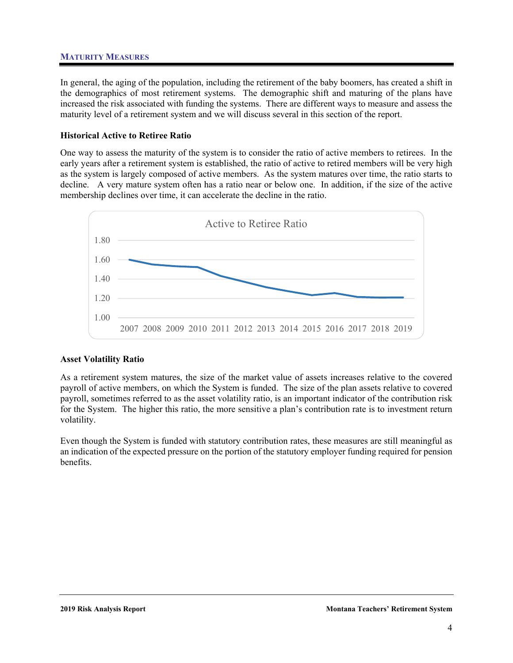# **MATURITY MEASURES**



In general, the aging of the population, including the retirement of the baby boomers, has created a shift in the demographics of most retirement systems. The demographic shift and maturing of the plans have increased the risk associated with funding the systems. There are different ways to measure and assess the maturity level of a retirement system and we will discuss several in this section of the report.

# **Historical Active to Retiree Ratio**

One way to assess the maturity of the system is to consider the ratio of active members to retirees. In the early years after a retirement system is established, the ratio of active to retired members will be very high as the system is largely composed of active members. As the system matures over time, the ratio starts to decline. A very mature system often has a ratio near or below one. In addition, if the size of the active membership declines over time, it can accelerate the decline in the ratio.



# **Asset Volatility Ratio**

As a retirement system matures, the size of the market value of assets increases relative to the covered payroll of active members, on which the System is funded. The size of the plan assets relative to covered payroll, sometimes referred to as the asset volatility ratio, is an important indicator of the contribution risk for the System. The higher this ratio, the more sensitive a plan's contribution rate is to investment return volatility.

Even though the System is funded with statutory contribution rates, these measures are still meaningful as an indication of the expected pressure on the portion of the statutory employer funding required for pension benefits.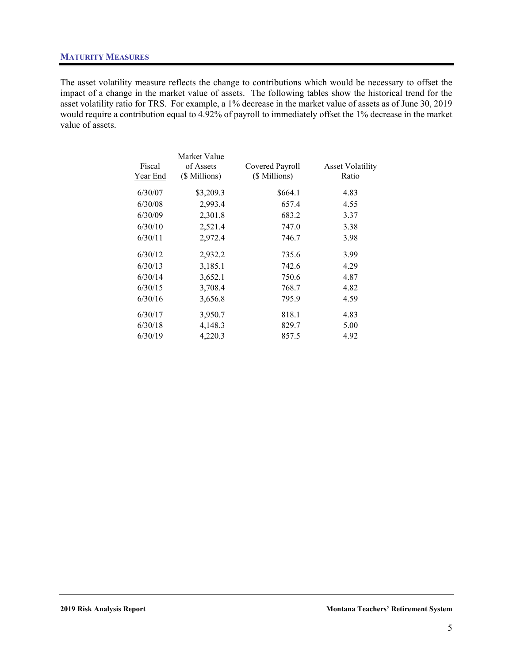

## **MATURITY MEASURES**

The asset volatility measure reflects the change to contributions which would be necessary to offset the impact of a change in the market value of assets. The following tables show the historical trend for the asset volatility ratio for TRS. For example, a 1% decrease in the market value of assets as of June 30, 2019 would require a contribution equal to 4.92% of payroll to immediately offset the 1% decrease in the market value of assets.

|          | Market Value  |                 |                         |
|----------|---------------|-----------------|-------------------------|
| Fiscal   | of Assets     | Covered Payroll | <b>Asset Volatility</b> |
| Year End | (\$ Millions) | (\$ Millions)   | Ratio                   |
| 6/30/07  | \$3,209.3     | \$664.1         | 4.83                    |
| 6/30/08  | 2,993.4       | 657.4           | 4.55                    |
| 6/30/09  | 2,301.8       | 683.2           | 3.37                    |
| 6/30/10  | 2,521.4       | 747.0           | 3.38                    |
| 6/30/11  | 2,972.4       | 746.7           | 3.98                    |
| 6/30/12  | 2,932.2       | 735.6           | 3.99                    |
| 6/30/13  | 3,185.1       | 742.6           | 4.29                    |
| 6/30/14  | 3,652.1       | 750.6           | 4.87                    |
| 6/30/15  | 3,708.4       | 768.7           | 4.82                    |
| 6/30/16  | 3,656.8       | 795.9           | 4.59                    |
| 6/30/17  | 3,950.7       | 818.1           | 4.83                    |
| 6/30/18  | 4,148.3       | 829.7           | 5.00                    |
| 6/30/19  | 4,220.3       | 857.5           | 4.92                    |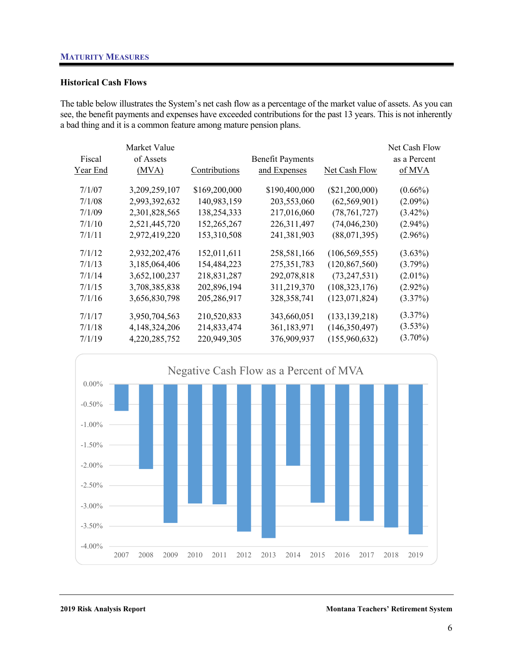

## **Historical Cash Flows**

The table below illustrates the System's net cash flow as a percentage of the market value of assets. As you can see, the benefit payments and expenses have exceeded contributions for the past 13 years. This is not inherently a bad thing and it is a common feature among mature pension plans.

|          | Market Value  |               |                         |                  | Net Cash Flow |
|----------|---------------|---------------|-------------------------|------------------|---------------|
| Fiscal   | of Assets     |               | <b>Benefit Payments</b> |                  | as a Percent  |
| Year End | (MVA)         | Contributions | and Expenses            | Net Cash Flow    | of MVA        |
|          |               |               |                         |                  |               |
| 7/1/07   | 3,209,259,107 | \$169,200,000 | \$190,400,000           | $(\$21,200,000)$ | $(0.66\%)$    |
| 7/1/08   | 2,993,392,632 | 140,983,159   | 203,553,060             | (62, 569, 901)   | $(2.09\%)$    |
| 7/1/09   | 2,301,828,565 | 138,254,333   | 217,016,060             | (78, 761, 727)   | $(3.42\%)$    |
| 7/1/10   | 2,521,445,720 | 152,265,267   | 226, 311, 497           | (74, 046, 230)   | $(2.94\%)$    |
| 7/1/11   | 2,972,419,220 | 153,310,508   | 241,381,903             | (88,071,395)     | $(2.96\%)$    |
| 7/1/12   | 2,932,202,476 | 152,011,611   | 258,581,166             | (106, 569, 555)  | $(3.63\%)$    |
| 7/1/13   | 3,185,064,406 | 154,484,223   | 275, 351, 783           | (120, 867, 560)  | $(3.79\%)$    |
| 7/1/14   | 3,652,100,237 | 218,831,287   | 292,078,818             | (73, 247, 531)   | $(2.01\%)$    |
| 7/1/15   | 3,708,385,838 | 202,896,194   | 311,219,370             | (108, 323, 176)  | $(2.92\%)$    |
| 7/1/16   | 3,656,830,798 | 205,286,917   | 328, 358, 741           | (123, 071, 824)  | $(3.37\%)$    |
| 7/1/17   | 3,950,704,563 | 210,520,833   | 343,660,051             | (133, 139, 218)  | $(3.37\%)$    |
| 7/1/18   | 4,148,324,206 | 214,833,474   | 361,183,971             | (146, 350, 497)  | $(3.53\%)$    |
| 7/1/19   | 4,220,285,752 | 220,949,305   | 376,909,937             | (155,960,632)    | $(3.70\%)$    |
|          |               |               |                         |                  |               |



**2019 Risk Analysis Report Montana Teachers' Retirement System**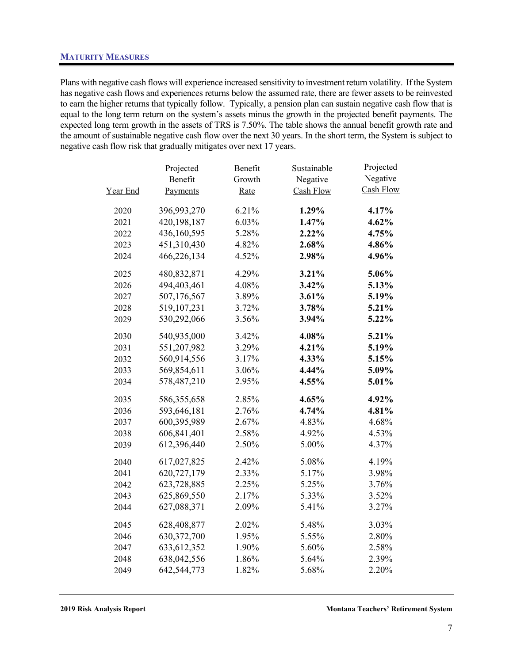## **MATURITY MEASURES**



Plans with negative cash flows will experience increased sensitivity to investment return volatility. If the System has negative cash flows and experiences returns below the assumed rate, there are fewer assets to be reinvested to earn the higher returns that typically follow. Typically, a pension plan can sustain negative cash flow that is equal to the long term return on the system's assets minus the growth in the projected benefit payments. The expected long term growth in the assets of TRS is 7.50%. The table shows the annual benefit growth rate and the amount of sustainable negative cash flow over the next 30 years. In the short term, the System is subject to negative cash flow risk that gradually mitigates over next 17 years.

|          | Projected     | Benefit | Sustainable | Projected |
|----------|---------------|---------|-------------|-----------|
|          | Benefit       | Growth  | Negative    | Negative  |
| Year End | Payments      | Rate    | Cash Flow   | Cash Flow |
| 2020     | 396,993,270   | 6.21%   | 1.29%       | 4.17%     |
| 2021     | 420,198,187   | 6.03%   | 1.47%       | 4.62%     |
| 2022     | 436,160,595   | 5.28%   | 2.22%       | 4.75%     |
| 2023     | 451,310,430   | 4.82%   | 2.68%       | 4.86%     |
| 2024     | 466,226,134   | 4.52%   | 2.98%       | 4.96%     |
| 2025     | 480,832,871   | 4.29%   | 3.21%       | 5.06%     |
| 2026     | 494,403,461   | 4.08%   | 3.42%       | 5.13%     |
| 2027     | 507,176,567   | 3.89%   | 3.61%       | 5.19%     |
| 2028     | 519,107,231   | 3.72%   | 3.78%       | 5.21%     |
| 2029     | 530,292,066   | 3.56%   | 3.94%       | 5.22%     |
| 2030     | 540,935,000   | 3.42%   | 4.08%       | 5.21%     |
| 2031     | 551,207,982   | 3.29%   | 4.21%       | 5.19%     |
| 2032     | 560,914,556   | 3.17%   | 4.33%       | 5.15%     |
| 2033     | 569,854,611   | 3.06%   | 4.44%       | 5.09%     |
| 2034     | 578,487,210   | 2.95%   | 4.55%       | 5.01%     |
| 2035     | 586,355,658   | 2.85%   | 4.65%       | 4.92%     |
| 2036     | 593,646,181   | 2.76%   | 4.74%       | 4.81%     |
| 2037     | 600,395,989   | 2.67%   | 4.83%       | 4.68%     |
| 2038     | 606,841,401   | 2.58%   | 4.92%       | 4.53%     |
| 2039     | 612,396,440   | 2.50%   | 5.00%       | 4.37%     |
| 2040     | 617,027,825   | 2.42%   | 5.08%       | 4.19%     |
| 2041     | 620,727,179   | 2.33%   | 5.17%       | 3.98%     |
| 2042     | 623,728,885   | 2.25%   | 5.25%       | 3.76%     |
| 2043     | 625,869,550   | 2.17%   | 5.33%       | 3.52%     |
| 2044     | 627,088,371   | 2.09%   | 5.41%       | 3.27%     |
| 2045     | 628,408,877   | 2.02%   | 5.48%       | 3.03%     |
| 2046     | 630, 372, 700 | 1.95%   | 5.55%       | 2.80%     |
| 2047     | 633, 612, 352 | 1.90%   | 5.60%       | 2.58%     |
| 2048     | 638,042,556   | 1.86%   | 5.64%       | 2.39%     |
| 2049     | 642,544,773   | 1.82%   | 5.68%       | 2.20%     |

**2019 Risk Analysis Report Montana Teachers' Retirement System**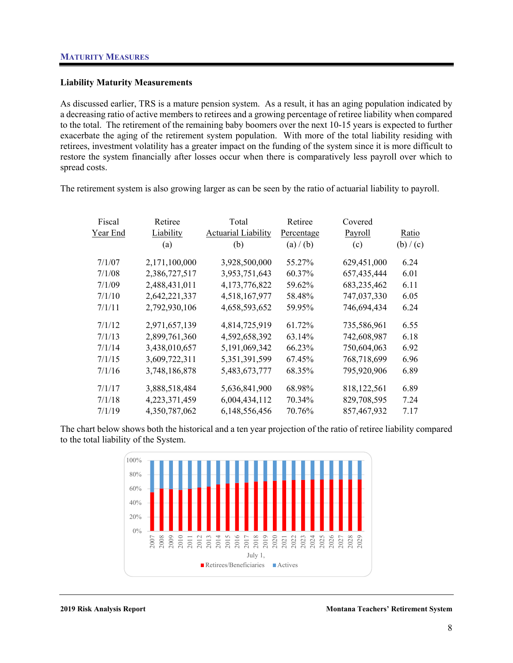

## **Liability Maturity Measurements**

As discussed earlier, TRS is a mature pension system. As a result, it has an aging population indicated by a decreasing ratio of active members to retirees and a growing percentage of retiree liability when compared to the total. The retirement of the remaining baby boomers over the next 10-15 years is expected to further exacerbate the aging of the retirement system population. With more of the total liability residing with retirees, investment volatility has a greater impact on the funding of the system since it is more difficult to restore the system financially after losses occur when there is comparatively less payroll over which to spread costs.

The retirement system is also growing larger as can be seen by the ratio of actuarial liability to payroll.

| Fiscal   | Retiree       | Total                      | Retiree    | Covered       |           |
|----------|---------------|----------------------------|------------|---------------|-----------|
| Year End | Liability     | <b>Actuarial Liability</b> | Percentage | Payroll       | Ratio     |
|          | (a)           | (b)                        | (a) / (b)  | (c)           | (b) / (c) |
| 7/1/07   | 2,171,100,000 | 3,928,500,000              | 55.27%     | 629,451,000   | 6.24      |
| 7/1/08   | 2,386,727,517 | 3,953,751,643              | 60.37%     | 657,435,444   | 6.01      |
| 7/1/09   | 2,488,431,011 | 4, 173, 776, 822           | 59.62%     | 683,235,462   | 6.11      |
| 7/1/10   | 2,642,221,337 | 4,518,167,977              | 58.48%     | 747,037,330   | 6.05      |
| 7/1/11   | 2,792,930,106 | 4,658,593,652              | 59.95%     | 746,694,434   | 6.24      |
| 7/1/12   | 2,971,657,139 | 4,814,725,919              | 61.72%     | 735,586,961   | 6.55      |
| 7/1/13   | 2,899,761,360 | 4,592,658,392              | 63.14%     | 742,608,987   | 6.18      |
| 7/1/14   | 3,438,010,657 | 5, 191, 069, 342           | 66.23%     | 750,604,063   | 6.92      |
| 7/1/15   | 3,609,722,311 | 5, 351, 391, 599           | 67.45%     | 768,718,699   | 6.96      |
| 7/1/16   | 3,748,186,878 | 5,483,673,777              | 68.35%     | 795,920,906   | 6.89      |
| 7/1/17   | 3,888,518,484 | 5,636,841,900              | 68.98%     | 818, 122, 561 | 6.89      |
| 7/1/18   | 4,223,371,459 | 6,004,434,112              | 70.34%     | 829,708,595   | 7.24      |
| 7/1/19   | 4,350,787,062 | 6,148,556,456              | 70.76%     | 857,467,932   | 7.17      |

The chart below shows both the historical and a ten year projection of the ratio of retiree liability compared to the total liability of the System.

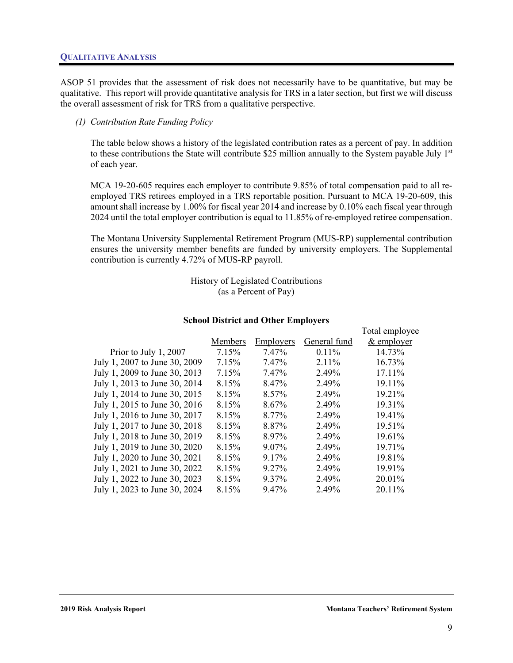#### **QUALITATIVE ANALYSIS**



ASOP 51 provides that the assessment of risk does not necessarily have to be quantitative, but may be qualitative. This report will provide quantitative analysis for TRS in a later section, but first we will discuss the overall assessment of risk for TRS from a qualitative perspective.

#### *(1) Contribution Rate Funding Policy*

The table below shows a history of the legislated contribution rates as a percent of pay. In addition to these contributions the State will contribute \$25 million annually to the System payable July  $1<sup>st</sup>$ of each year.

MCA 19-20-605 requires each employer to contribute 9.85% of total compensation paid to all reemployed TRS retirees employed in a TRS reportable position. Pursuant to MCA 19-20-609, this amount shall increase by 1.00% for fiscal year 2014 and increase by 0.10% each fiscal year through 2024 until the total employer contribution is equal to 11.85% of re-employed retiree compensation.

The Montana University Supplemental Retirement Program (MUS-RP) supplemental contribution ensures the university member benefits are funded by university employers. The Supplemental contribution is currently 4.72% of MUS-RP payroll.

> History of Legislated Contributions (as a Percent of Pay)

#### **School District and Other Employers**

|                               | Members | Employers | General fund | Total employee<br>$&$ employer |
|-------------------------------|---------|-----------|--------------|--------------------------------|
| Prior to July 1, 2007         | 7.15%   | 7.47%     | $0.11\%$     | 14.73%                         |
| July 1, 2007 to June 30, 2009 | 7.15%   | 7.47%     | 2.11%        | 16.73%                         |
| July 1, 2009 to June 30, 2013 | 7.15%   | 7.47%     | 2.49%        | 17.11%                         |
| July 1, 2013 to June 30, 2014 | 8.15%   | 8.47%     | 2.49%        | 19.11%                         |
| July 1, 2014 to June 30, 2015 | 8.15%   | 8.57%     | 2.49%        | 19.21%                         |
| July 1, 2015 to June 30, 2016 | 8.15%   | 8.67%     | 2.49%        | 19.31%                         |
| July 1, 2016 to June 30, 2017 | 8.15%   | 8.77%     | 2.49%        | 19.41%                         |
| July 1, 2017 to June 30, 2018 | 8.15%   | 8.87%     | 2.49%        | 19.51%                         |
| July 1, 2018 to June 30, 2019 | 8.15%   | 8.97%     | 2.49%        | 19.61%                         |
| July 1, 2019 to June 30, 2020 | 8.15%   | $9.07\%$  | 2.49%        | 19.71%                         |
| July 1, 2020 to June 30, 2021 | 8.15%   | 9.17%     | 2.49%        | 19.81%                         |
| July 1, 2021 to June 30, 2022 | 8.15%   | 9.27%     | 2.49%        | 19.91%                         |
| July 1, 2022 to June 30, 2023 | 8.15%   | 9.37%     | 2.49%        | 20.01%                         |
| July 1, 2023 to June 30, 2024 | 8.15%   | 9.47%     | 2.49%        | 20.11%                         |
|                               |         |           |              |                                |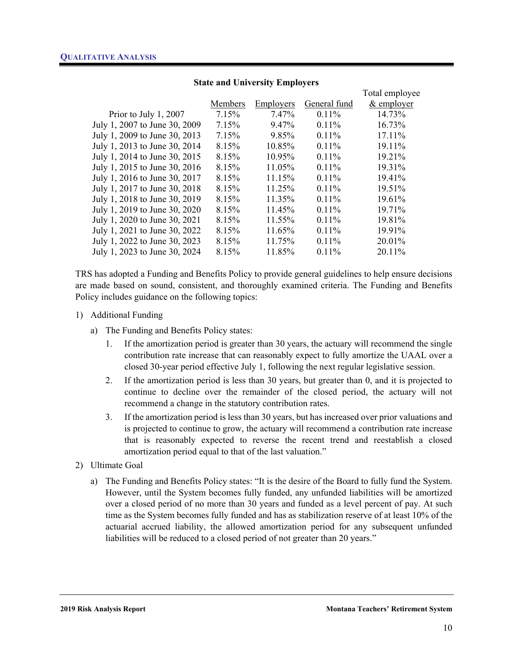

|                               |         |           |              | Total employee |
|-------------------------------|---------|-----------|--------------|----------------|
|                               | Members | Employers | General fund | $&$ employer   |
| Prior to July 1, 2007         | 7.15%   | 7.47%     | 0.11%        | 14.73%         |
| July 1, 2007 to June 30, 2009 | 7.15%   | 9.47%     | $0.11\%$     | 16.73%         |
| July 1, 2009 to June 30, 2013 | 7.15%   | 9.85%     | 0.11%        | 17.11%         |
| July 1, 2013 to June 30, 2014 | 8.15%   | 10.85%    | 0.11%        | 19.11%         |
| July 1, 2014 to June 30, 2015 | 8.15%   | 10.95%    | $0.11\%$     | 19.21%         |
| July 1, 2015 to June 30, 2016 | 8.15%   | 11.05%    | 0.11%        | 19.31%         |
| July 1, 2016 to June 30, 2017 | 8.15%   | 11.15%    | 0.11%        | 19.41%         |
| July 1, 2017 to June 30, 2018 | 8.15%   | 11.25%    | $0.11\%$     | 19.51%         |
| July 1, 2018 to June 30, 2019 | 8.15%   | 11.35%    | 0.11%        | 19.61%         |
| July 1, 2019 to June 30, 2020 | 8.15%   | 11.45%    | 0.11%        | 19.71%         |
| July 1, 2020 to June 30, 2021 | 8.15%   | 11.55%    | 0.11%        | 19.81%         |
| July 1, 2021 to June 30, 2022 | 8.15%   | 11.65%    | 0.11%        | 19.91%         |
| July 1, 2022 to June 30, 2023 | 8.15%   | 11.75%    | $0.11\%$     | 20.01%         |
| July 1, 2023 to June 30, 2024 | 8.15%   | 11.85%    | $0.11\%$     | 20.11%         |
|                               |         |           |              |                |

# **State and University Employers**

TRS has adopted a Funding and Benefits Policy to provide general guidelines to help ensure decisions are made based on sound, consistent, and thoroughly examined criteria. The Funding and Benefits Policy includes guidance on the following topics:

#### 1) Additional Funding

- a) The Funding and Benefits Policy states:
	- 1. If the amortization period is greater than 30 years, the actuary will recommend the single contribution rate increase that can reasonably expect to fully amortize the UAAL over a closed 30-year period effective July 1, following the next regular legislative session.
	- 2. If the amortization period is less than 30 years, but greater than 0, and it is projected to continue to decline over the remainder of the closed period, the actuary will not recommend a change in the statutory contribution rates.
	- 3. If the amortization period is less than 30 years, but has increased over prior valuations and is projected to continue to grow, the actuary will recommend a contribution rate increase that is reasonably expected to reverse the recent trend and reestablish a closed amortization period equal to that of the last valuation."
- 2) Ultimate Goal
	- a) The Funding and Benefits Policy states: "It is the desire of the Board to fully fund the System. However, until the System becomes fully funded, any unfunded liabilities will be amortized over a closed period of no more than 30 years and funded as a level percent of pay. At such time as the System becomes fully funded and has as stabilization reserve of at least 10% of the actuarial accrued liability, the allowed amortization period for any subsequent unfunded liabilities will be reduced to a closed period of not greater than 20 years."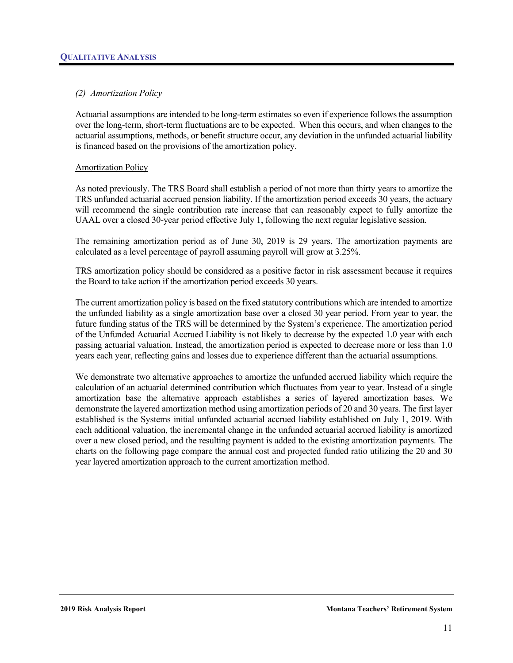

# *(2) Amortization Policy*

Actuarial assumptions are intended to be long-term estimates so even if experience follows the assumption over the long-term, short-term fluctuations are to be expected. When this occurs, and when changes to the actuarial assumptions, methods, or benefit structure occur, any deviation in the unfunded actuarial liability is financed based on the provisions of the amortization policy.

#### Amortization Policy

As noted previously. The TRS Board shall establish a period of not more than thirty years to amortize the TRS unfunded actuarial accrued pension liability. If the amortization period exceeds 30 years, the actuary will recommend the single contribution rate increase that can reasonably expect to fully amortize the UAAL over a closed 30-year period effective July 1, following the next regular legislative session.

The remaining amortization period as of June 30, 2019 is 29 years. The amortization payments are calculated as a level percentage of payroll assuming payroll will grow at 3.25%.

TRS amortization policy should be considered as a positive factor in risk assessment because it requires the Board to take action if the amortization period exceeds 30 years.

The current amortization policy is based on the fixed statutory contributions which are intended to amortize the unfunded liability as a single amortization base over a closed 30 year period. From year to year, the future funding status of the TRS will be determined by the System's experience. The amortization period of the Unfunded Actuarial Accrued Liability is not likely to decrease by the expected 1.0 year with each passing actuarial valuation. Instead, the amortization period is expected to decrease more or less than 1.0 years each year, reflecting gains and losses due to experience different than the actuarial assumptions.

We demonstrate two alternative approaches to amortize the unfunded accrued liability which require the calculation of an actuarial determined contribution which fluctuates from year to year. Instead of a single amortization base the alternative approach establishes a series of layered amortization bases. We demonstrate the layered amortization method using amortization periods of 20 and 30 years. The first layer established is the Systems initial unfunded actuarial accrued liability established on July 1, 2019. With each additional valuation, the incremental change in the unfunded actuarial accrued liability is amortized over a new closed period, and the resulting payment is added to the existing amortization payments. The charts on the following page compare the annual cost and projected funded ratio utilizing the 20 and 30 year layered amortization approach to the current amortization method.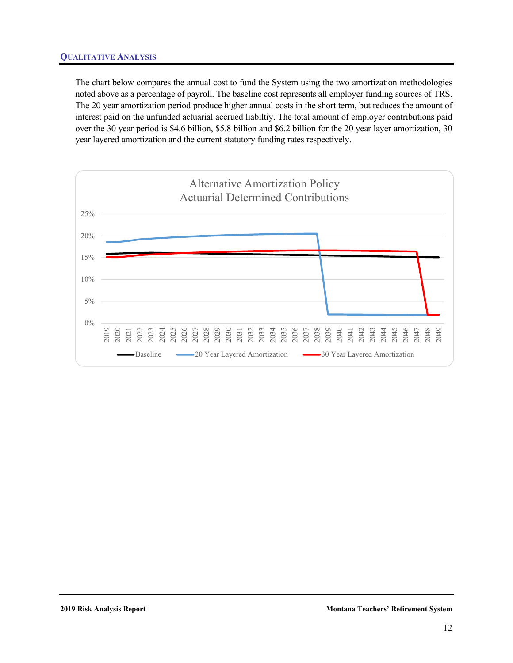

## **QUALITATIVE ANALYSIS**

The chart below compares the annual cost to fund the System using the two amortization methodologies noted above as a percentage of payroll. The baseline cost represents all employer funding sources of TRS. The 20 year amortization period produce higher annual costs in the short term, but reduces the amount of interest paid on the unfunded actuarial accrued liabiltiy. The total amount of employer contributions paid over the 30 year period is \$4.6 billion, \$5.8 billion and \$6.2 billion for the 20 year layer amortization, 30 year layered amortization and the current statutory funding rates respectively.

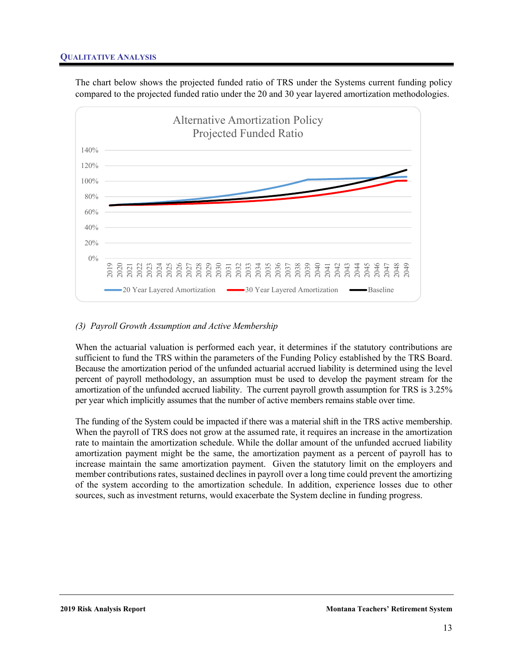

## **QUALITATIVE ANALYSIS**

The chart below shows the projected funded ratio of TRS under the Systems current funding policy compared to the projected funded ratio under the 20 and 30 year layered amortization methodologies.



## *(3) Payroll Growth Assumption and Active Membership*

When the actuarial valuation is performed each year, it determines if the statutory contributions are sufficient to fund the TRS within the parameters of the Funding Policy established by the TRS Board. Because the amortization period of the unfunded actuarial accrued liability is determined using the level percent of payroll methodology, an assumption must be used to develop the payment stream for the amortization of the unfunded accrued liability. The current payroll growth assumption for TRS is 3.25% per year which implicitly assumes that the number of active members remains stable over time.

The funding of the System could be impacted if there was a material shift in the TRS active membership. When the payroll of TRS does not grow at the assumed rate, it requires an increase in the amortization rate to maintain the amortization schedule. While the dollar amount of the unfunded accrued liability amortization payment might be the same, the amortization payment as a percent of payroll has to increase maintain the same amortization payment. Given the statutory limit on the employers and member contributions rates, sustained declines in payroll over a long time could prevent the amortizing of the system according to the amortization schedule. In addition, experience losses due to other sources, such as investment returns, would exacerbate the System decline in funding progress.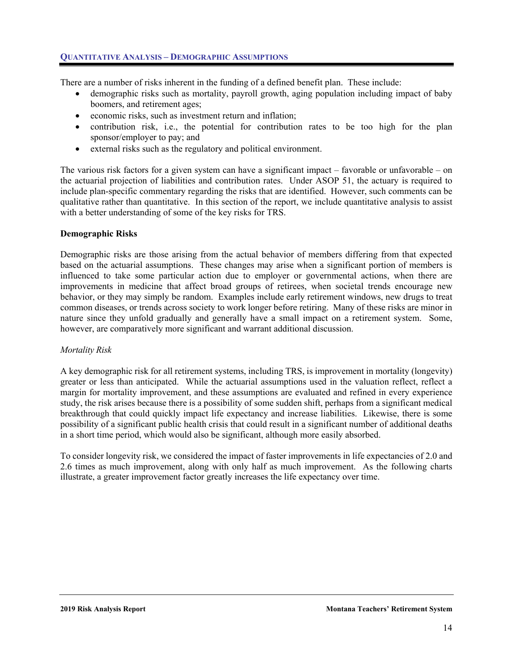



There are a number of risks inherent in the funding of a defined benefit plan. These include:

- demographic risks such as mortality, payroll growth, aging population including impact of baby boomers, and retirement ages;
- economic risks, such as investment return and inflation;
- contribution risk, i.e., the potential for contribution rates to be too high for the plan sponsor/employer to pay; and
- external risks such as the regulatory and political environment.

The various risk factors for a given system can have a significant impact – favorable or unfavorable – on the actuarial projection of liabilities and contribution rates. Under ASOP 51, the actuary is required to include plan-specific commentary regarding the risks that are identified. However, such comments can be qualitative rather than quantitative. In this section of the report, we include quantitative analysis to assist with a better understanding of some of the key risks for TRS.

# **Demographic Risks**

Demographic risks are those arising from the actual behavior of members differing from that expected based on the actuarial assumptions. These changes may arise when a significant portion of members is influenced to take some particular action due to employer or governmental actions, when there are improvements in medicine that affect broad groups of retirees, when societal trends encourage new behavior, or they may simply be random. Examples include early retirement windows, new drugs to treat common diseases, or trends across society to work longer before retiring. Many of these risks are minor in nature since they unfold gradually and generally have a small impact on a retirement system. Some, however, are comparatively more significant and warrant additional discussion.

# *Mortality Risk*

A key demographic risk for all retirement systems, including TRS, is improvement in mortality (longevity) greater or less than anticipated. While the actuarial assumptions used in the valuation reflect, reflect a margin for mortality improvement, and these assumptions are evaluated and refined in every experience study, the risk arises because there is a possibility of some sudden shift, perhaps from a significant medical breakthrough that could quickly impact life expectancy and increase liabilities. Likewise, there is some possibility of a significant public health crisis that could result in a significant number of additional deaths in a short time period, which would also be significant, although more easily absorbed.

To consider longevity risk, we considered the impact of faster improvements in life expectancies of 2.0 and 2.6 times as much improvement, along with only half as much improvement. As the following charts illustrate, a greater improvement factor greatly increases the life expectancy over time.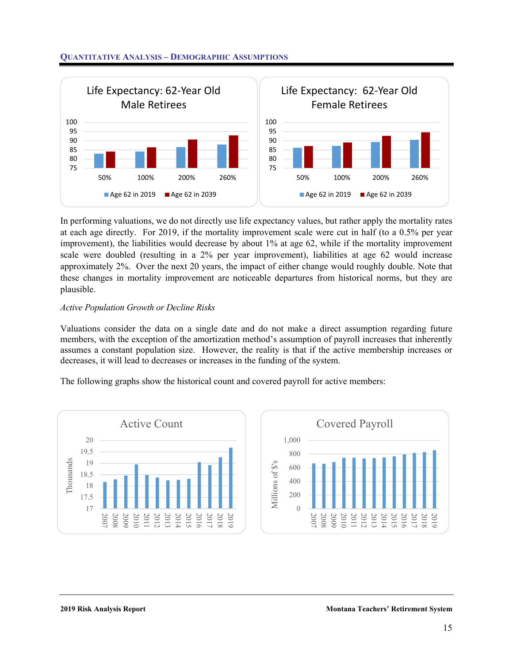

### **QUANTITATIVE ANALYSIS – DEMOGRAPHIC ASSUMPTIONS**



In performing valuations, we do not directly use life expectancy values, but rather apply the mortality rates at each age directly. For 2019, if the mortality improvement scale were cut in half (to a 0.5% per year improvement), the liabilities would decrease by about 1% at age 62, while if the mortality improvement scale were doubled (resulting in a 2% per year improvement), liabilities at age 62 would increase approximately 2%. Over the next 20 years, the impact of either change would roughly double. Note that these changes in mortality improvement are noticeable departures from historical norms, but they are plausible.

#### *Active Population Growth or Decline Risks*

Valuations consider the data on a single date and do not make a direct assumption regarding future members, with the exception of the amortization method's assumption of payroll increases that inherently assumes a constant population size. However, the reality is that if the active membership increases or decreases, it will lead to decreases or increases in the funding of the system.

The following graphs show the historical count and covered payroll for active members:

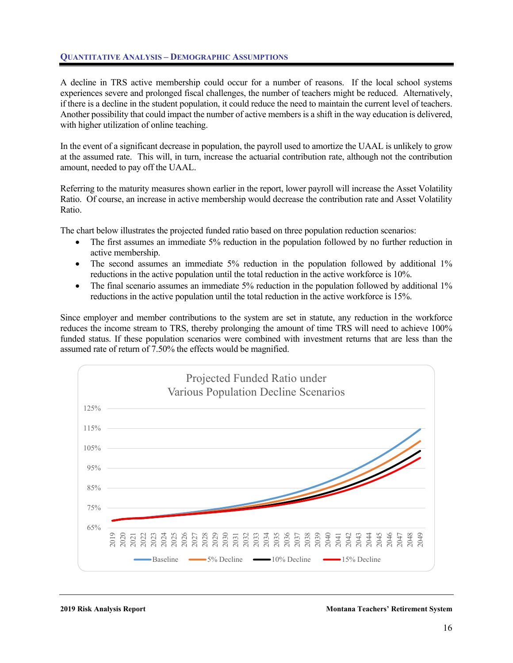# **QUANTITATIVE ANALYSIS – DEMOGRAPHIC ASSUMPTIONS**



A decline in TRS active membership could occur for a number of reasons. If the local school systems experiences severe and prolonged fiscal challenges, the number of teachers might be reduced. Alternatively, if there is a decline in the student population, it could reduce the need to maintain the current level of teachers. Another possibility that could impact the number of active members is a shift in the way education is delivered, with higher utilization of online teaching.

In the event of a significant decrease in population, the payroll used to amortize the UAAL is unlikely to grow at the assumed rate. This will, in turn, increase the actuarial contribution rate, although not the contribution amount, needed to pay off the UAAL.

Referring to the maturity measures shown earlier in the report, lower payroll will increase the Asset Volatility Ratio. Of course, an increase in active membership would decrease the contribution rate and Asset Volatility Ratio.

The chart below illustrates the projected funded ratio based on three population reduction scenarios:

- The first assumes an immediate 5% reduction in the population followed by no further reduction in active membership.
- The second assumes an immediate 5% reduction in the population followed by additional 1% reductions in the active population until the total reduction in the active workforce is 10%.
- The final scenario assumes an immediate 5% reduction in the population followed by additional 1% reductions in the active population until the total reduction in the active workforce is 15%.

Since employer and member contributions to the system are set in statute, any reduction in the workforce reduces the income stream to TRS, thereby prolonging the amount of time TRS will need to achieve 100% funded status. If these population scenarios were combined with investment returns that are less than the assumed rate of return of 7.50% the effects would be magnified.



**2019 Risk Analysis Report Montana Teachers' Retirement System**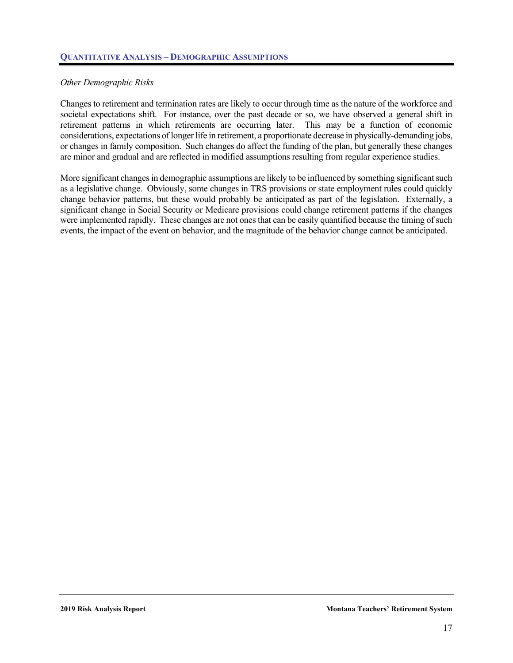# *Other Demographic Risks*

Changes to retirement and termination rates are likely to occur through time as the nature of the workforce and societal expectations shift. For instance, over the past decade or so, we have observed a general shift in retirement patterns in which retirements are occurring later. This may be a function of economic considerations, expectations of longer life in retirement, a proportionate decrease in physically-demanding jobs, or changes in family composition. Such changes do affect the funding of the plan, but generally these changes are minor and gradual and are reflected in modified assumptions resulting from regular experience studies.

More significant changes in demographic assumptions are likely to be influenced by something significant such as a legislative change. Obviously, some changes in TRS provisions or state employment rules could quickly change behavior patterns, but these would probably be anticipated as part of the legislation. Externally, a significant change in Social Security or Medicare provisions could change retirement patterns if the changes were implemented rapidly. These changes are not ones that can be easily quantified because the timing of such events, the impact of the event on behavior, and the magnitude of the behavior change cannot be anticipated.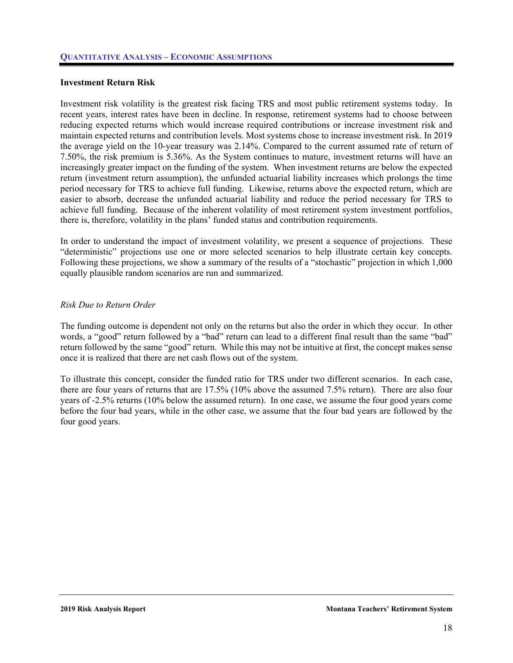

#### **Investment Return Risk**

Investment risk volatility is the greatest risk facing TRS and most public retirement systems today. In recent years, interest rates have been in decline. In response, retirement systems had to choose between reducing expected returns which would increase required contributions or increase investment risk and maintain expected returns and contribution levels. Most systems chose to increase investment risk. In 2019 the average yield on the 10-year treasury was 2.14%. Compared to the current assumed rate of return of 7.50%, the risk premium is 5.36%. As the System continues to mature, investment returns will have an increasingly greater impact on the funding of the system. When investment returns are below the expected return (investment return assumption), the unfunded actuarial liability increases which prolongs the time period necessary for TRS to achieve full funding. Likewise, returns above the expected return, which are easier to absorb, decrease the unfunded actuarial liability and reduce the period necessary for TRS to achieve full funding. Because of the inherent volatility of most retirement system investment portfolios, there is, therefore, volatility in the plans' funded status and contribution requirements.

In order to understand the impact of investment volatility, we present a sequence of projections. These "deterministic" projections use one or more selected scenarios to help illustrate certain key concepts. Following these projections, we show a summary of the results of a "stochastic" projection in which 1,000 equally plausible random scenarios are run and summarized.

#### *Risk Due to Return Order*

The funding outcome is dependent not only on the returns but also the order in which they occur. In other words, a "good" return followed by a "bad" return can lead to a different final result than the same "bad" return followed by the same "good" return. While this may not be intuitive at first, the concept makes sense once it is realized that there are net cash flows out of the system.

To illustrate this concept, consider the funded ratio for TRS under two different scenarios. In each case, there are four years of returns that are 17.5% (10% above the assumed 7.5% return). There are also four years of -2.5% returns (10% below the assumed return). In one case, we assume the four good years come before the four bad years, while in the other case, we assume that the four bad years are followed by the four good years.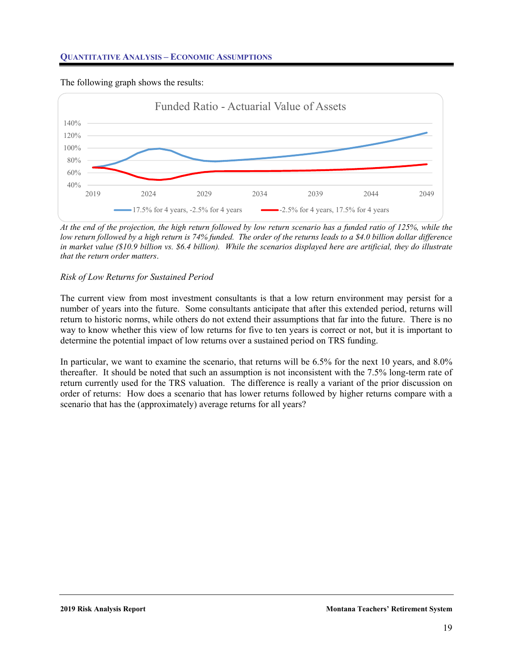



The following graph shows the results:

*At the end of the projection, the high return followed by low return scenario has a funded ratio of 125%, while the low return followed by a high return is 74% funded. The order of the returns leads to a \$4.0 billion dollar difference in market value (\$10.9 billion vs. \$6.4 billion). While the scenarios displayed here are artificial, they do illustrate that the return order matters*.

## *Risk of Low Returns for Sustained Period*

The current view from most investment consultants is that a low return environment may persist for a number of years into the future. Some consultants anticipate that after this extended period, returns will return to historic norms, while others do not extend their assumptions that far into the future. There is no way to know whether this view of low returns for five to ten years is correct or not, but it is important to determine the potential impact of low returns over a sustained period on TRS funding.

In particular, we want to examine the scenario, that returns will be 6.5% for the next 10 years, and 8.0% thereafter. It should be noted that such an assumption is not inconsistent with the 7.5% long-term rate of return currently used for the TRS valuation. The difference is really a variant of the prior discussion on order of returns: How does a scenario that has lower returns followed by higher returns compare with a scenario that has the (approximately) average returns for all years?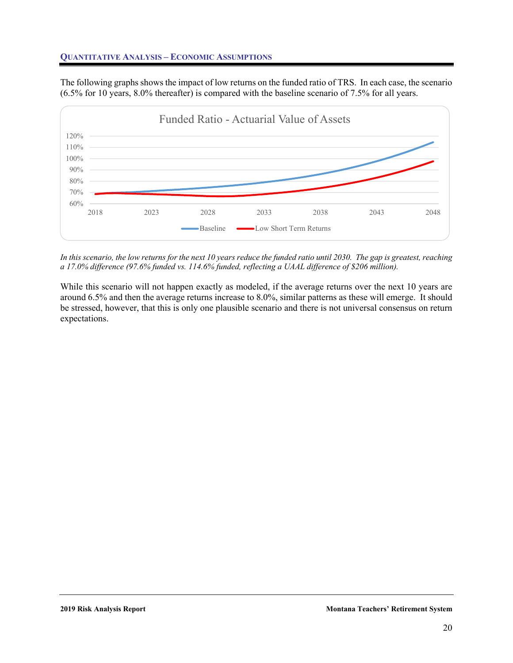

The following graphs shows the impact of low returns on the funded ratio of TRS. In each case, the scenario (6.5% for 10 years, 8.0% thereafter) is compared with the baseline scenario of 7.5% for all years.



*In this scenario, the low returns for the next 10 years reduce the funded ratio until 2030. The gap is greatest, reaching a 17.0% difference (97.6% funded vs. 114.6% funded, reflecting a UAAL difference of \$206 million).* 

While this scenario will not happen exactly as modeled, if the average returns over the next 10 years are around 6.5% and then the average returns increase to 8.0%, similar patterns as these will emerge. It should be stressed, however, that this is only one plausible scenario and there is not universal consensus on return expectations.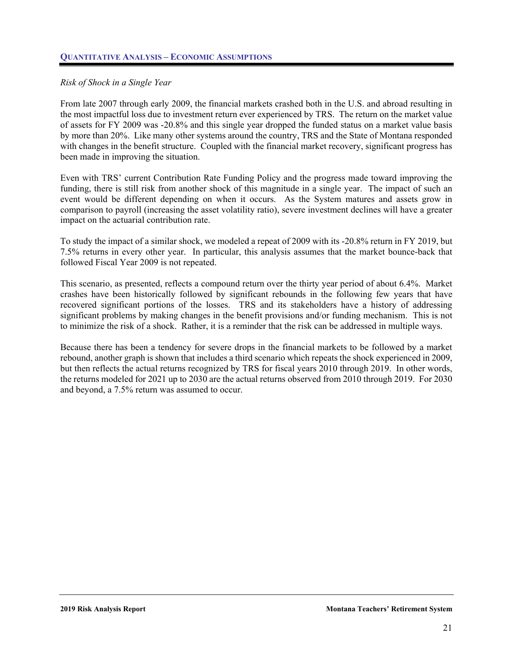

## *Risk of Shock in a Single Year*

From late 2007 through early 2009, the financial markets crashed both in the U.S. and abroad resulting in the most impactful loss due to investment return ever experienced by TRS. The return on the market value of assets for FY 2009 was -20.8% and this single year dropped the funded status on a market value basis by more than 20%. Like many other systems around the country, TRS and the State of Montana responded with changes in the benefit structure. Coupled with the financial market recovery, significant progress has been made in improving the situation.

Even with TRS' current Contribution Rate Funding Policy and the progress made toward improving the funding, there is still risk from another shock of this magnitude in a single year. The impact of such an event would be different depending on when it occurs. As the System matures and assets grow in comparison to payroll (increasing the asset volatility ratio), severe investment declines will have a greater impact on the actuarial contribution rate.

To study the impact of a similar shock, we modeled a repeat of 2009 with its -20.8% return in FY 2019, but 7.5% returns in every other year. In particular, this analysis assumes that the market bounce-back that followed Fiscal Year 2009 is not repeated.

This scenario, as presented, reflects a compound return over the thirty year period of about 6.4%. Market crashes have been historically followed by significant rebounds in the following few years that have recovered significant portions of the losses. TRS and its stakeholders have a history of addressing significant problems by making changes in the benefit provisions and/or funding mechanism. This is not to minimize the risk of a shock. Rather, it is a reminder that the risk can be addressed in multiple ways.

Because there has been a tendency for severe drops in the financial markets to be followed by a market rebound, another graph is shown that includes a third scenario which repeats the shock experienced in 2009, but then reflects the actual returns recognized by TRS for fiscal years 2010 through 2019. In other words, the returns modeled for 2021 up to 2030 are the actual returns observed from 2010 through 2019. For 2030 and beyond, a 7.5% return was assumed to occur.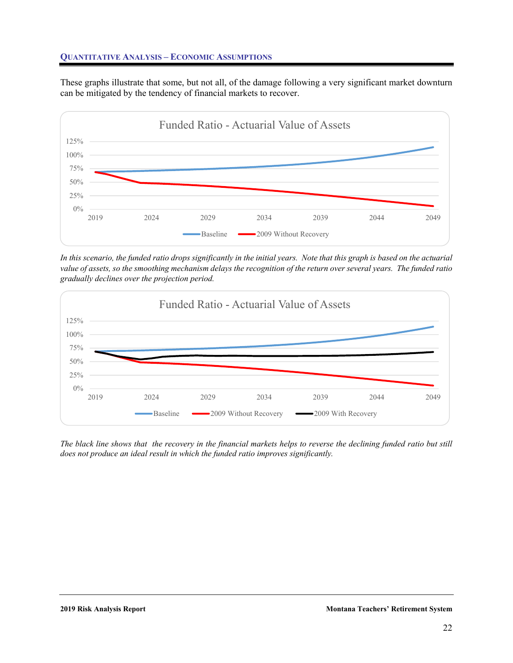

These graphs illustrate that some, but not all, of the damage following a very significant market downturn can be mitigated by the tendency of financial markets to recover.



*In this scenario, the funded ratio drops significantly in the initial years. Note that this graph is based on the actuarial value of assets, so the smoothing mechanism delays the recognition of the return over several years. The funded ratio gradually declines over the projection period.* 



*The black line shows that the recovery in the financial markets helps to reverse the declining funded ratio but still does not produce an ideal result in which the funded ratio improves significantly.*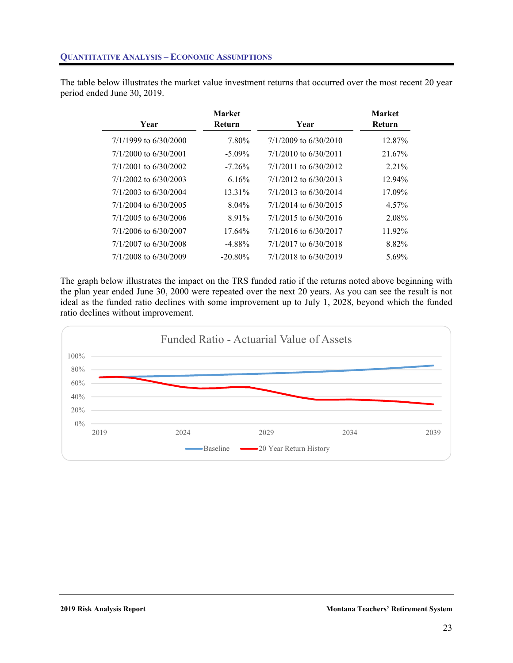

The table below illustrates the market value investment returns that occurred over the most recent 20 year period ended June 30, 2019.

| Year                    | <b>Market</b><br>Return | Year                      | <b>Market</b><br>Return |
|-------------------------|-------------------------|---------------------------|-------------------------|
| $7/1/1999$ to 6/30/2000 | 7.80%                   | $7/1/2009$ to 6/30/2010   | 12.87%                  |
| $7/1/2000$ to 6/30/2001 | $-5.09\%$               | $7/1/2010$ to 6/30/2011   | 21.67%                  |
| $7/1/2001$ to 6/30/2002 | $-7.26\%$               | $7/1/2011$ to 6/30/2012   | 2.21%                   |
| $7/1/2002$ to 6/30/2003 | 6.16%                   | $7/1/2012$ to 6/30/2013   | 12.94%                  |
| $7/1/2003$ to 6/30/2004 | 13.31%                  | $7/1/2013$ to 6/30/2014   | 17.09%                  |
| $7/1/2004$ to 6/30/2005 | $8.04\%$                | $7/1/2014$ to 6/30/2015   | 4.57%                   |
| $7/1/2005$ to 6/30/2006 | 891%                    | $7/1/2015$ to 6/30/2016   | 2.08%                   |
| 7/1/2006 to 6/30/2007   | $17.64\%$               | $7/1/2016$ to $6/30/2017$ | 11.92%                  |
| 7/1/2007 to 6/30/2008   | $-4.88\%$               | 7/1/2017 to 6/30/2018     | 8.82%                   |
| 7/1/2008 to 6/30/2009   | $-20.80\%$              | 7/1/2018 to 6/30/2019     | 5.69%                   |

The graph below illustrates the impact on the TRS funded ratio if the returns noted above beginning with the plan year ended June 30, 2000 were repeated over the next 20 years. As you can see the result is not ideal as the funded ratio declines with some improvement up to July 1, 2028, beyond which the funded ratio declines without improvement.

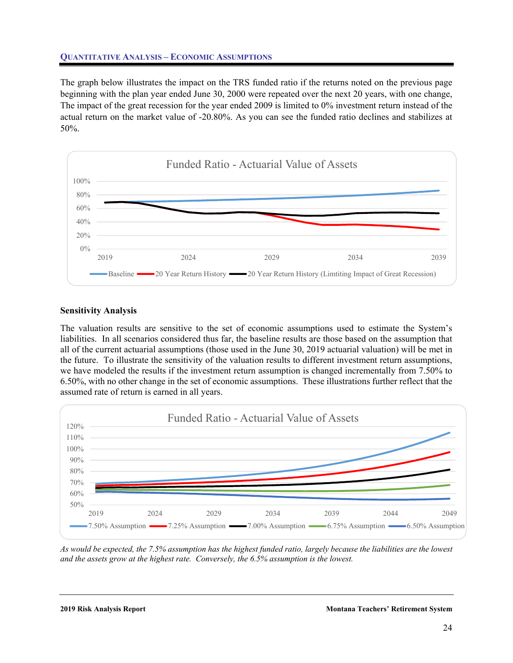

The graph below illustrates the impact on the TRS funded ratio if the returns noted on the previous page beginning with the plan year ended June 30, 2000 were repeated over the next 20 years, with one change, The impact of the great recession for the year ended 2009 is limited to 0% investment return instead of the actual return on the market value of -20.80%. As you can see the funded ratio declines and stabilizes at 50%.



# **Sensitivity Analysis**

The valuation results are sensitive to the set of economic assumptions used to estimate the System's liabilities. In all scenarios considered thus far, the baseline results are those based on the assumption that all of the current actuarial assumptions (those used in the June 30, 2019 actuarial valuation) will be met in the future. To illustrate the sensitivity of the valuation results to different investment return assumptions, we have modeled the results if the investment return assumption is changed incrementally from 7.50% to 6.50%, with no other change in the set of economic assumptions. These illustrations further reflect that the assumed rate of return is earned in all years.



*As would be expected, the 7.5% assumption has the highest funded ratio, largely because the liabilities are the lowest and the assets grow at the highest rate. Conversely, the 6.5% assumption is the lowest.*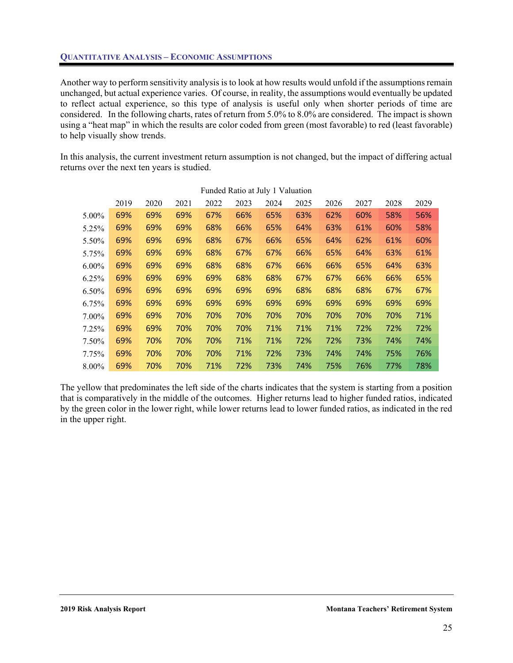

Another way to perform sensitivity analysis is to look at how results would unfold if the assumptions remain unchanged, but actual experience varies. Of course, in reality, the assumptions would eventually be updated to reflect actual experience, so this type of analysis is useful only when shorter periods of time are considered. In the following charts, rates of return from 5.0% to 8.0% are considered. The impact is shown using a "heat map" in which the results are color coded from green (most favorable) to red (least favorable) to help visually show trends.

In this analysis, the current investment return assumption is not changed, but the impact of differing actual returns over the next ten years is studied.

|          |      |      |      |      |      | Tungu Katio at July 1 valuation |      |      |      |      |      |
|----------|------|------|------|------|------|---------------------------------|------|------|------|------|------|
|          | 2019 | 2020 | 2021 | 2022 | 2023 | 2024                            | 2025 | 2026 | 2027 | 2028 | 2029 |
| $5.00\%$ | 69%  | 69%  | 69%  | 67%  | 66%  | 65%                             | 63%  | 62%  | 60%  | 58%  | 56%  |
| 5.25%    | 69%  | 69%  | 69%  | 68%  | 66%  | 65%                             | 64%  | 63%  | 61%  | 60%  | 58%  |
| 5.50%    | 69%  | 69%  | 69%  | 68%  | 67%  | 66%                             | 65%  | 64%  | 62%  | 61%  | 60%  |
| 5.75%    | 69%  | 69%  | 69%  | 68%  | 67%  | 67%                             | 66%  | 65%  | 64%  | 63%  | 61%  |
| $6.00\%$ | 69%  | 69%  | 69%  | 68%  | 68%  | 67%                             | 66%  | 66%  | 65%  | 64%  | 63%  |
| $6.25\%$ | 69%  | 69%  | 69%  | 69%  | 68%  | 68%                             | 67%  | 67%  | 66%  | 66%  | 65%  |
| $6.50\%$ | 69%  | 69%  | 69%  | 69%  | 69%  | 69%                             | 68%  | 68%  | 68%  | 67%  | 67%  |
| $6.75\%$ | 69%  | 69%  | 69%  | 69%  | 69%  | 69%                             | 69%  | 69%  | 69%  | 69%  | 69%  |
| $7.00\%$ | 69%  | 69%  | 70%  | 70%  | 70%  | 70%                             | 70%  | 70%  | 70%  | 70%  | 71%  |
| 7.25%    | 69%  | 69%  | 70%  | 70%  | 70%  | 71%                             | 71%  | 71%  | 72%  | 72%  | 72%  |
| 7.50%    | 69%  | 70%  | 70%  | 70%  | 71%  | 71%                             | 72%  | 72%  | 73%  | 74%  | 74%  |
| 7.75%    | 69%  | 70%  | 70%  | 70%  | 71%  | 72%                             | 73%  | 74%  | 74%  | 75%  | 76%  |
| $8.00\%$ | 69%  | 70%  | 70%  | 71%  | 72%  | 73%                             | 74%  | 75%  | 76%  | 77%  | 78%  |

# Funded Ratio at July 1 Valuation

The yellow that predominates the left side of the charts indicates that the system is starting from a position that is comparatively in the middle of the outcomes. Higher returns lead to higher funded ratios, indicated by the green color in the lower right, while lower returns lead to lower funded ratios, as indicated in the red in the upper right.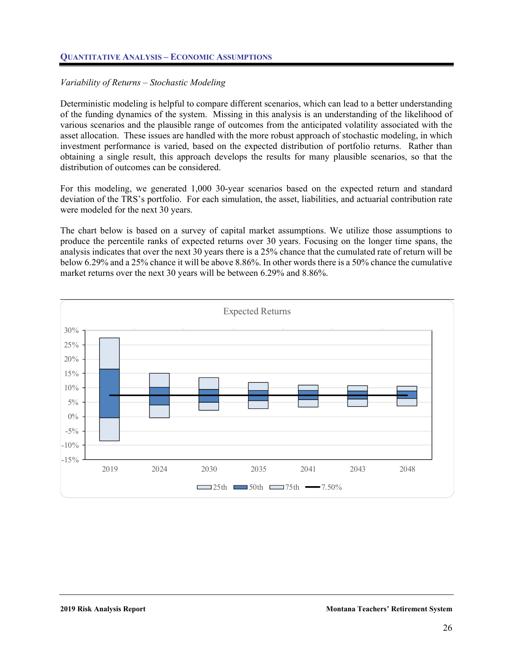

# *Variability of Returns – Stochastic Modeling*

Deterministic modeling is helpful to compare different scenarios, which can lead to a better understanding of the funding dynamics of the system. Missing in this analysis is an understanding of the likelihood of various scenarios and the plausible range of outcomes from the anticipated volatility associated with the asset allocation. These issues are handled with the more robust approach of stochastic modeling, in which investment performance is varied, based on the expected distribution of portfolio returns. Rather than obtaining a single result, this approach develops the results for many plausible scenarios, so that the distribution of outcomes can be considered.

For this modeling, we generated 1,000 30-year scenarios based on the expected return and standard deviation of the TRS's portfolio. For each simulation, the asset, liabilities, and actuarial contribution rate were modeled for the next 30 years.

The chart below is based on a survey of capital market assumptions. We utilize those assumptions to produce the percentile ranks of expected returns over 30 years. Focusing on the longer time spans, the analysis indicates that over the next 30 years there is a 25% chance that the cumulated rate of return will be below 6.29% and a 25% chance it will be above 8.86%. In other words there is a 50% chance the cumulative market returns over the next 30 years will be between 6.29% and 8.86%.

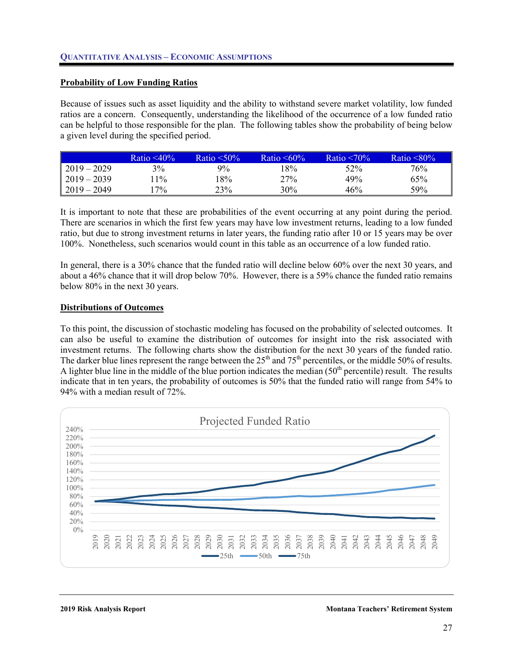

## **Probability of Low Funding Ratios**

Because of issues such as asset liquidity and the ability to withstand severe market volatility, low funded ratios are a concern. Consequently, understanding the likelihood of the occurrence of a low funded ratio can be helpful to those responsible for the plan. The following tables show the probability of being below a given level during the specified period.

|               | Ratio $\leq 40\%$ | Ratio $\leq 50\%$ | Ratio $\leq 60\%$ | Ratio $\leq 70\%$ | Ratio $\leq 80\%$ |
|---------------|-------------------|-------------------|-------------------|-------------------|-------------------|
| $2019 - 2029$ | 3%                | $9\%$             | 18%               | 52%               | $76\%$            |
| $2019 - 2039$ | $1\%$             | $8\%$             | 27%               | 49%               | 65%               |
| $2019 - 2049$ | $7\%$             | 23%               | 30%               | 46%               | 59%               |

It is important to note that these are probabilities of the event occurring at any point during the period. There are scenarios in which the first few years may have low investment returns, leading to a low funded ratio, but due to strong investment returns in later years, the funding ratio after 10 or 15 years may be over 100%. Nonetheless, such scenarios would count in this table as an occurrence of a low funded ratio.

In general, there is a 30% chance that the funded ratio will decline below 60% over the next 30 years, and about a 46% chance that it will drop below 70%. However, there is a 59% chance the funded ratio remains below 80% in the next 30 years.

#### **Distributions of Outcomes**

To this point, the discussion of stochastic modeling has focused on the probability of selected outcomes. It can also be useful to examine the distribution of outcomes for insight into the risk associated with investment returns. The following charts show the distribution for the next 30 years of the funded ratio. The darker blue lines represent the range between the 25<sup>th</sup> and 75<sup>th</sup> percentiles, or the middle 50% of results. A lighter blue line in the middle of the blue portion indicates the median  $(50<sup>th</sup>$  percentile) result. The results indicate that in ten years, the probability of outcomes is 50% that the funded ratio will range from 54% to 94% with a median result of 72%.

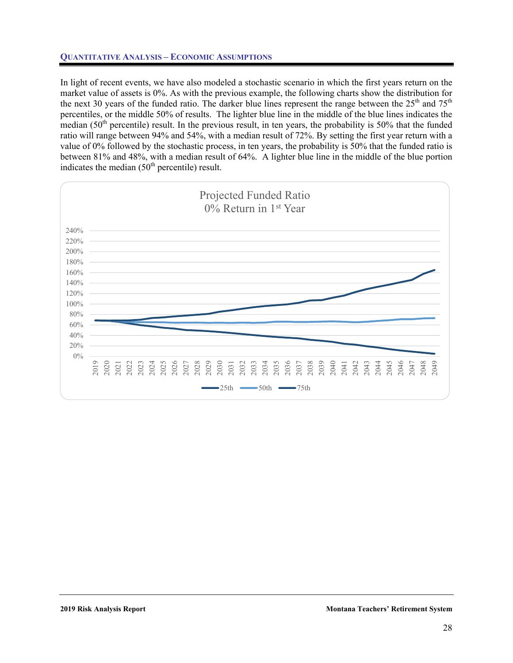

In light of recent events, we have also modeled a stochastic scenario in which the first years return on the market value of assets is 0%. As with the previous example, the following charts show the distribution for the next 30 years of the funded ratio. The darker blue lines represent the range between the  $25<sup>th</sup>$  and  $75<sup>th</sup>$ percentiles, or the middle 50% of results. The lighter blue line in the middle of the blue lines indicates the median (50<sup>th</sup> percentile) result. In the previous result, in ten years, the probability is 50% that the funded ratio will range between 94% and 54%, with a median result of 72%. By setting the first year return with a value of 0% followed by the stochastic process, in ten years, the probability is 50% that the funded ratio is between 81% and 48%, with a median result of 64%. A lighter blue line in the middle of the blue portion indicates the median  $(50<sup>th</sup>$  percentile) result.

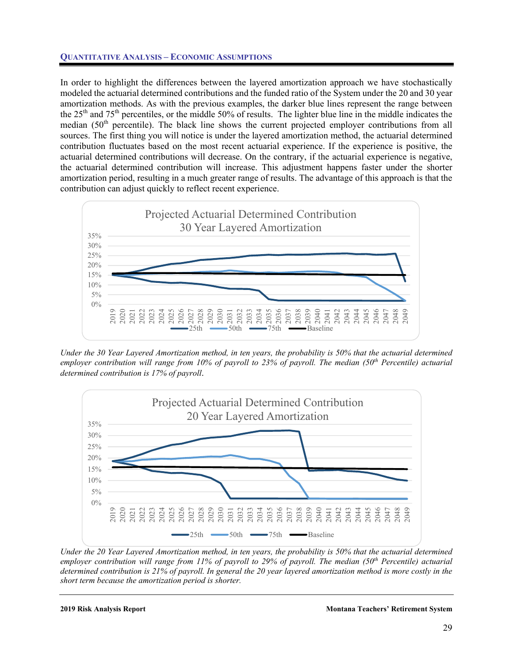

In order to highlight the differences between the layered amortization approach we have stochastically modeled the actuarial determined contributions and the funded ratio of the System under the 20 and 30 year amortization methods. As with the previous examples, the darker blue lines represent the range between the 25<sup>th</sup> and 75<sup>th</sup> percentiles, or the middle 50% of results. The lighter blue line in the middle indicates the median (50<sup>th</sup> percentile). The black line shows the current projected employer contributions from all sources. The first thing you will notice is under the layered amortization method, the actuarial determined contribution fluctuates based on the most recent actuarial experience. If the experience is positive, the actuarial determined contributions will decrease. On the contrary, if the actuarial experience is negative, the actuarial determined contribution will increase. This adjustment happens faster under the shorter amortization period, resulting in a much greater range of results. The advantage of this approach is that the contribution can adjust quickly to reflect recent experience.



*Under the 30 Year Layered Amortization method, in ten years, the probability is 50% that the actuarial determined*  employer contribution will range from 10% of payroll to 23% of payroll. The median (50<sup>th</sup> Percentile) actuarial *determined contribution is 17% of payroll*.



*Under the 20 Year Layered Amortization method, in ten years, the probability is 50% that the actuarial determined employer contribution will range from 11% of payroll to 29% of payroll. The median (50<sup>th</sup> Percentile) actuarial determined contribution is 21% of payroll. In general the 20 year layered amortization method is more costly in the short term because the amortization period is shorter.*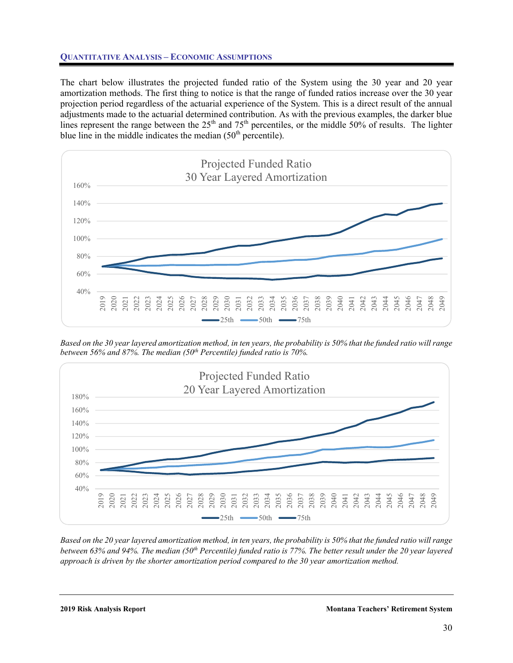

The chart below illustrates the projected funded ratio of the System using the 30 year and 20 year amortization methods. The first thing to notice is that the range of funded ratios increase over the 30 year projection period regardless of the actuarial experience of the System. This is a direct result of the annual adjustments made to the actuarial determined contribution. As with the previous examples, the darker blue lines represent the range between the  $25<sup>th</sup>$  and  $75<sup>th</sup>$  percentiles, or the middle 50% of results. The lighter blue line in the middle indicates the median  $(50<sup>th</sup>$  percentile).



*Based on the 30 year layered amortization method, in ten years, the probability is 50% that the funded ratio will range between 56% and 87%. The median (50<sup>th</sup> Percentile) funded ratio is 70%.* 



*Based on the 20 year layered amortization method, in ten years, the probability is 50% that the funded ratio will range between 63% and 94%. The median (50<sup>th</sup> Percentile) funded ratio is 77%. The better result under the 20 year layered approach is driven by the shorter amortization period compared to the 30 year amortization method.*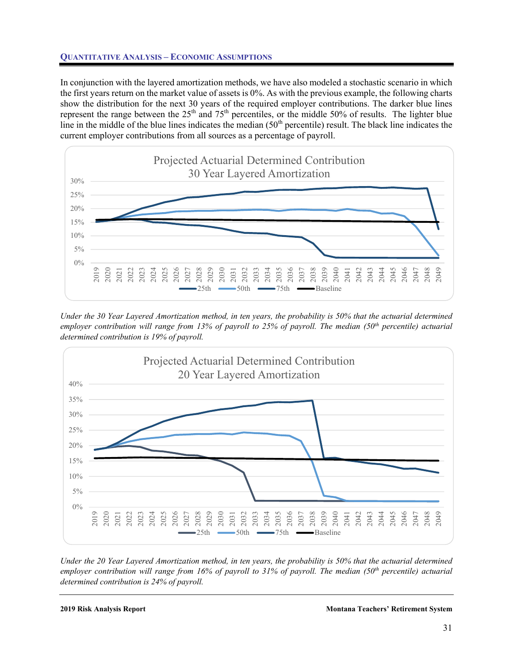

In conjunction with the layered amortization methods, we have also modeled a stochastic scenario in which the first years return on the market value of assets is 0%. As with the previous example, the following charts show the distribution for the next 30 years of the required employer contributions. The darker blue lines represent the range between the 25<sup>th</sup> and 75<sup>th</sup> percentiles, or the middle 50% of results. The lighter blue line in the middle of the blue lines indicates the median  $(50<sup>th</sup>$  percentile) result. The black line indicates the current employer contributions from all sources as a percentage of payroll.



*Under the 30 Year Layered Amortization method, in ten years, the probability is 50% that the actuarial determined employer contribution will range from 13% of payroll to 25% of payroll. The median (50th percentile) actuarial determined contribution is 19% of payroll.* 



*Under the 20 Year Layered Amortization method, in ten years, the probability is 50% that the actuarial determined employer contribution will range from 16% of payroll to 31% of payroll. The median (50th percentile) actuarial determined contribution is 24% of payroll.* 

#### **2019 Risk Analysis Report Montana Teachers' Retirement System**